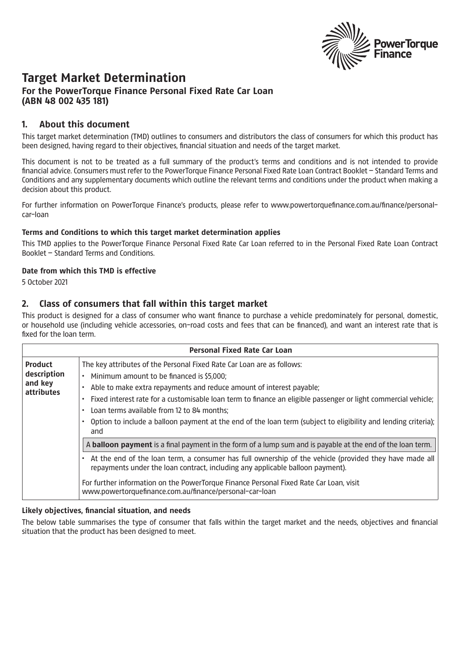

# **Target Market Determination**

## **For the PowerTorque Finance Personal Fixed Rate Car Loan (ABN 48 002 435 181)**

## **1. About this document**

This target market determination (TMD) outlines to consumers and distributors the class of consumers for which this product has been designed, having regard to their objectives, financial situation and needs of the target market.

This document is not to be treated as a full summary of the product's terms and conditions and is not intended to provide financial advice. Consumers must refer to the PowerTorque Finance Personal Fixed Rate Loan Contract Booklet – Standard Terms and Conditions and any supplementary documents which outline the relevant terms and conditions under the product when making a decision about this product.

For further information on PowerTorque Finance's products, please refer to www.powertorquefinance.com.au/finance/personalcar-loan

#### **Terms and Conditions to which this target market determination applies**

This TMD applies to the PowerTorque Finance Personal Fixed Rate Car Loan referred to in the Personal Fixed Rate Loan Contract Booklet – Standard Terms and Conditions.

#### **Date from which this TMD is effective**

5 October 2021

# **2. Class of consumers that fall within this target market**

This product is designed for a class of consumer who want finance to purchase a vehicle predominately for personal, domestic, or household use (including vehicle accessories, on-road costs and fees that can be financed), and want an interest rate that is fixed for the loan term.

| <b>Personal Fixed Rate Car Loan</b>                           |                                                                                                                                                                                                                                                                                                                                                                                                                                                                                      |  |
|---------------------------------------------------------------|--------------------------------------------------------------------------------------------------------------------------------------------------------------------------------------------------------------------------------------------------------------------------------------------------------------------------------------------------------------------------------------------------------------------------------------------------------------------------------------|--|
| <b>Product</b><br>description<br>and key<br><b>attributes</b> | The key attributes of the Personal Fixed Rate Car Loan are as follows:<br>Minimum amount to be financed is \$5,000;<br>Able to make extra repayments and reduce amount of interest payable;<br>Fixed interest rate for a customisable loan term to finance an eligible passenger or light commercial vehicle;<br>Loan terms available from 12 to 84 months;<br>Option to include a balloon payment at the end of the loan term (subject to eligibility and lending criteria);<br>and |  |
|                                                               | A <b>balloon payment</b> is a final payment in the form of a lump sum and is payable at the end of the loan term.                                                                                                                                                                                                                                                                                                                                                                    |  |
|                                                               | At the end of the loan term, a consumer has full ownership of the vehicle (provided they have made all<br>repayments under the loan contract, including any applicable balloon payment).                                                                                                                                                                                                                                                                                             |  |
|                                                               | For further information on the PowerTorque Finance Personal Fixed Rate Car Loan, visit<br>www.powertorquefinance.com.au/finance/personal-car-loan                                                                                                                                                                                                                                                                                                                                    |  |

#### **Likely objectives, financial situation, and needs**

The below table summarises the type of consumer that falls within the target market and the needs, objectives and financial situation that the product has been designed to meet.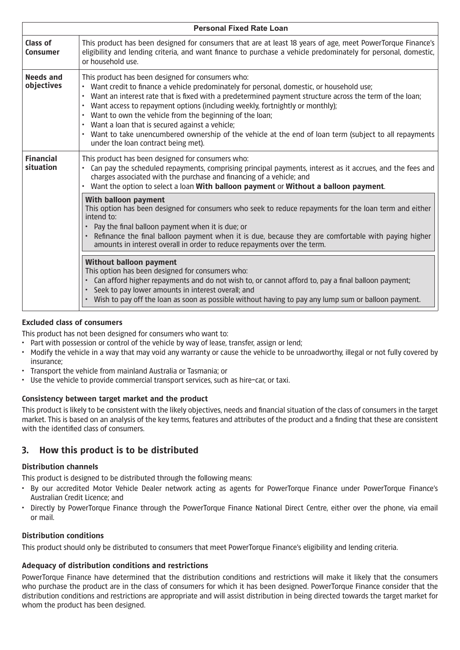| <b>Personal Fixed Rate Loan</b> |                                                                                                                                                                                                                                                                                                                                                                                                                                                                                                                                                                                                                                      |  |
|---------------------------------|--------------------------------------------------------------------------------------------------------------------------------------------------------------------------------------------------------------------------------------------------------------------------------------------------------------------------------------------------------------------------------------------------------------------------------------------------------------------------------------------------------------------------------------------------------------------------------------------------------------------------------------|--|
| Class of<br>Consumer            | This product has been designed for consumers that are at least 18 years of age, meet PowerTorque Finance's<br>eligibility and lending criteria, and want finance to purchase a vehicle predominately for personal, domestic,<br>or household use.                                                                                                                                                                                                                                                                                                                                                                                    |  |
| <b>Needs and</b><br>objectives  | This product has been designed for consumers who:<br>Want credit to finance a vehicle predominately for personal, domestic, or household use;<br>Want an interest rate that is fixed with a predetermined payment structure across the term of the loan;<br>$\bullet$<br>Want access to repayment options (including weekly, fortnightly or monthly);<br>Want to own the vehicle from the beginning of the loan;<br>$\bullet$<br>Want a loan that is secured against a vehicle;<br>Want to take unencumbered ownership of the vehicle at the end of loan term (subject to all repayments<br>٠<br>under the loan contract being met). |  |
| <b>Financial</b><br>situation   | This product has been designed for consumers who:<br>Can pay the scheduled repayments, comprising principal payments, interest as it accrues, and the fees and<br>charges associated with the purchase and financing of a vehicle; and<br>Want the option to select a loan With balloon payment or Without a balloon payment.                                                                                                                                                                                                                                                                                                        |  |
|                                 | With balloon payment<br>This option has been designed for consumers who seek to reduce repayments for the loan term and either<br>intend to:<br>Pay the final balloon payment when it is due; or<br>$\bullet$<br>Refinance the final balloon payment when it is due, because they are comfortable with paying higher<br>amounts in interest overall in order to reduce repayments over the term.                                                                                                                                                                                                                                     |  |
|                                 | <b>Without balloon payment</b><br>This option has been designed for consumers who:<br>Can afford higher repayments and do not wish to, or cannot afford to, pay a final balloon payment;<br>Seek to pay lower amounts in interest overall; and<br>Wish to pay off the loan as soon as possible without having to pay any lump sum or balloon payment.                                                                                                                                                                                                                                                                                |  |

## **Excluded class of consumers**

This product has not been designed for consumers who want to:

- Part with possession or control of the vehicle by way of lease, transfer, assign or lend;
- Modify the vehicle in a way that may void any warranty or cause the vehicle to be unroadworthy, illegal or not fully covered by insurance;
- Transport the vehicle from mainland Australia or Tasmania; or
- Use the vehicle to provide commercial transport services, such as hire-car, or taxi.

#### **Consistency between target market and the product**

This product is likely to be consistent with the likely objectives, needs and financial situation of the class of consumers in the target market. This is based on an analysis of the key terms, features and attributes of the product and a finding that these are consistent with the identified class of consumers.

# **3. How this product is to be distributed**

#### **Distribution channels**

This product is designed to be distributed through the following means:

- By our accredited Motor Vehicle Dealer network acting as agents for PowerTorque Finance under PowerTorque Finance's Australian Credit Licence; and
- Directly by PowerTorque Finance through the PowerTorque Finance National Direct Centre, either over the phone, via email or mail.

#### **Distribution conditions**

This product should only be distributed to consumers that meet PowerTorque Finance's eligibility and lending criteria.

#### **Adequacy of distribution conditions and restrictions**

PowerTorque Finance have determined that the distribution conditions and restrictions will make it likely that the consumers who purchase the product are in the class of consumers for which it has been designed. PowerTorque Finance consider that the distribution conditions and restrictions are appropriate and will assist distribution in being directed towards the target market for whom the product has been designed.